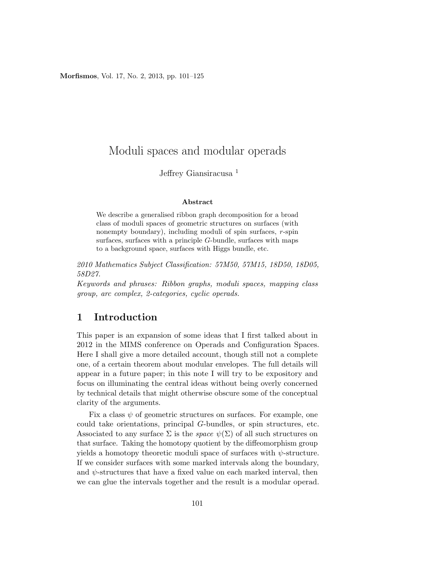Morfismos, Vol. 17, No. 2, 2013, pp. 101–125

# Moduli spaces and modular operads

## Jeffrey Giansiracusa <sup>1</sup>

#### Abstract

We describe a generalised ribbon graph decomposition for a broad class of moduli spaces of geometric structures on surfaces (with nonempty boundary), including moduli of spin surfaces, r-spin surfaces, surfaces with a principle G-bundle, surfaces with maps to a background space, surfaces with Higgs bundle, etc.

2010 Mathematics Subject Classification: 57M50, 57M15, 18D50, 18D05, 58D27.

Keywords and phrases: Ribbon graphs, moduli spaces, mapping class group, arc complex, 2-categories, cyclic operads.

## 1 Introduction

This paper is an expansion of some ideas that I first talked about in 2012 in the MIMS conference on Operads and Configuration Spaces. Here I shall give a more detailed account, though still not a complete one, of a certain theorem about modular envelopes. The full details will appear in a future paper; in this note I will try to be expository and focus on illuminating the central ideas without being overly concerned by technical details that might otherwise obscure some of the conceptual clarity of the arguments.

Fix a class  $\psi$  of geometric structures on surfaces. For example, one could take orientations, principal G-bundles, or spin structures, etc. Associated to any surface  $\Sigma$  is the *space*  $\psi(\Sigma)$  of all such structures on that surface. Taking the homotopy quotient by the diffeomorphism group yields a homotopy theoretic moduli space of surfaces with  $\psi$ -structure. If we consider surfaces with some marked intervals along the boundary, and  $\psi$ -structures that have a fixed value on each marked interval, then we can glue the intervals together and the result is a modular operad.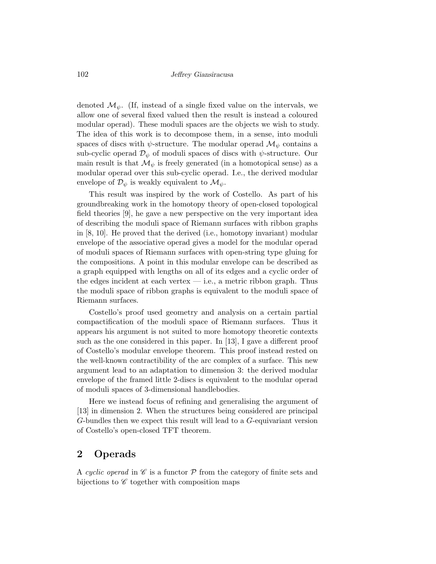denoted  $\mathcal{M}_{\psi}$ . (If, instead of a single fixed value on the intervals, we allow one of several fixed valued then the result is instead a coloured modular operad). These moduli spaces are the objects we wish to study. The idea of this work is to decompose them, in a sense, into moduli spaces of discs with  $\psi$ -structure. The modular operad  $\mathcal{M}_{\psi}$  contains a sub-cyclic operad  $\mathcal{D}_{\psi}$  of moduli spaces of discs with  $\psi$ -structure. Our main result is that  $\mathcal{M}_{\psi}$  is freely generated (in a homotopical sense) as a modular operad over this sub-cyclic operad. I.e., the derived modular envelope of  $\mathcal{D}_{\psi}$  is weakly equivalent to  $\mathcal{M}_{\psi}$ .

This result was inspired by the work of Costello. As part of his groundbreaking work in the homotopy theory of open-closed topological field theories [9], he gave a new perspective on the very important idea of describing the moduli space of Riemann surfaces with ribbon graphs in [8, 10]. He proved that the derived (i.e., homotopy invariant) modular envelope of the associative operad gives a model for the modular operad of moduli spaces of Riemann surfaces with open-string type gluing for the compositions. A point in this modular envelope can be described as a graph equipped with lengths on all of its edges and a cyclic order of the edges incident at each vertex  $-$  i.e., a metric ribbon graph. Thus the moduli space of ribbon graphs is equivalent to the moduli space of Riemann surfaces.

Costello's proof used geometry and analysis on a certain partial compactification of the moduli space of Riemann surfaces. Thus it appears his argument is not suited to more homotopy theoretic contexts such as the one considered in this paper. In [13], I gave a different proof of Costello's modular envelope theorem. This proof instead rested on the well-known contractibility of the arc complex of a surface. This new argument lead to an adaptation to dimension 3: the derived modular envelope of the framed little 2-discs is equivalent to the modular operad of moduli spaces of 3-dimensional handlebodies.

Here we instead focus of refining and generalising the argument of [13] in dimension 2. When the structures being considered are principal G-bundles then we expect this result will lead to a G-equivariant version of Costello's open-closed TFT theorem.

## 2 Operads

A cyclic operad in  $\mathscr C$  is a functor  $\mathcal P$  from the category of finite sets and bijections to  $\mathscr C$  together with composition maps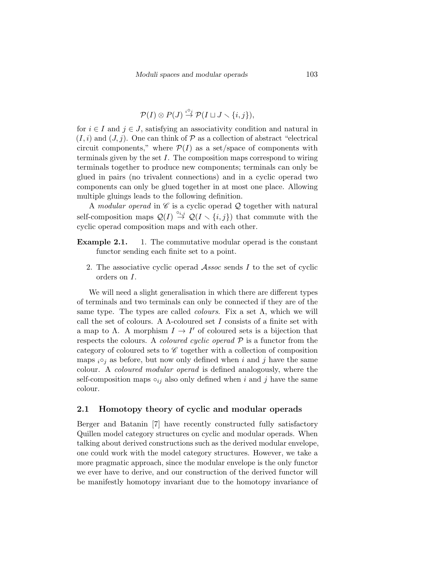$$
\mathcal{P}(I) \otimes P(J) \stackrel{i \circ j}{\rightarrow} \mathcal{P}(I \sqcup J \smallsetminus \{i,j\}),
$$

for  $i \in I$  and  $j \in J$ , satisfying an associativity condition and natural in  $(I, i)$  and  $(J, j)$ . One can think of  $P$  as a collection of abstract "electrical" circuit components," where  $\mathcal{P}(I)$  as a set/space of components with terminals given by the set  $I$ . The composition maps correspond to wiring terminals together to produce new components; terminals can only be glued in pairs (no trivalent connections) and in a cyclic operad two components can only be glued together in at most one place. Allowing multiple gluings leads to the following definition.

A modular operad in  $\mathscr C$  is a cyclic operad  $\mathcal Q$  together with natural self-composition maps  $Q(I) \stackrel{\circ_{i,j}}{\rightarrow} Q(I \setminus \{i,j\})$  that commute with the cyclic operad composition maps and with each other.

- **Example 2.1.** 1. The commutative modular operad is the constant functor sending each finite set to a point.
	- 2. The associative cyclic operad Assoc sends I to the set of cyclic orders on I.

We will need a slight generalisation in which there are different types of terminals and two terminals can only be connected if they are of the same type. The types are called *colours*. Fix a set  $\Lambda$ , which we will call the set of colours. A  $\Lambda$ -coloured set I consists of a finite set with a map to  $\Lambda$ . A morphism  $I \to I'$  of coloured sets is a bijection that respects the colours. A *coloured cyclic operad*  $P$  is a functor from the category of coloured sets to  $\mathscr C$  together with a collection of composition maps  $i \circ_j$  as before, but now only defined when i and j have the same colour. A coloured modular operad is defined analogously, where the self-composition maps  $\circ_{ij}$  also only defined when i and j have the same colour.

#### 2.1 Homotopy theory of cyclic and modular operads

Berger and Batanin [7] have recently constructed fully satisfactory Quillen model category structures on cyclic and modular operads. When talking about derived constructions such as the derived modular envelope, one could work with the model category structures. However, we take a more pragmatic approach, since the modular envelope is the only functor we ever have to derive, and our construction of the derived functor will be manifestly homotopy invariant due to the homotopy invariance of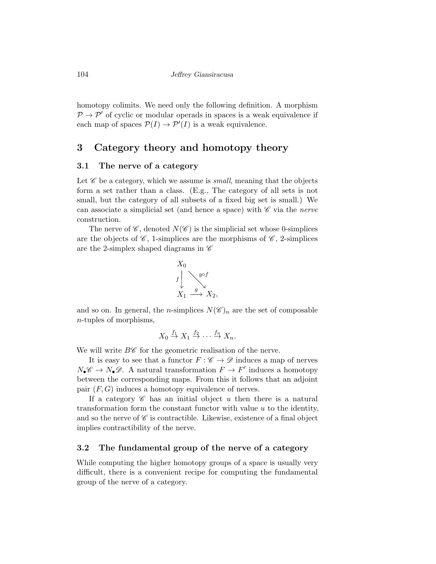homotopy colimits. We need only the following definition. A morphism  $P \rightarrow P'$  of cyclic or modular operads in spaces is a weak equivalence if each map of spaces  $\mathcal{P}(I) \to \mathcal{P}'(I)$  is a weak equivalence.

## 3 Category theory and homotopy theory

#### 3.1 The nerve of a category

Let  $\mathscr C$  be a category, which we assume is *small*, meaning that the objects form a set rather than a class. (E.g., The category of all sets is not small, but the category of all subsets of a fixed big set is small.) We can associate a simplicial set (and hence a space) with  $\mathscr C$  via the nerve construction.

The nerve of  $\mathscr{C}$ , denoted  $N(\mathscr{C})$  is the simplicial set whose 0-simplices are the objects of  $\mathscr{C}$ , 1-simplices are the morphisms of  $\mathscr{C}$ , 2-simplices are the 2-simplex shaped diagrams in  $\mathscr C$ 



and so on. In general, the *n*-simplices  $N(\mathscr{C})_n$  are the set of composable n-tuples of morphisms,

$$
X_0 \stackrel{f_1}{\to} X_1 \stackrel{f_2}{\to} \cdots \stackrel{f_n}{\to} X_n.
$$

We will write  $B\mathscr{C}$  for the geometric realisation of the nerve.

It is easy to see that a functor  $F : \mathscr{C} \to \mathscr{D}$  induces a map of nerves  $N_{\bullet} \mathscr{C} \to N_{\bullet} \mathscr{D}$ . A natural transformation  $F \to F'$  induces a homotopy between the corresponding maps. From this it follows that an adjoint pair  $(F, G)$  induces a homotopy equivalence of nerves.

If a category  $\mathscr C$  has an initial object u then there is a natural transformation form the constant functor with value  $u$  to the identity, and so the nerve of  $\mathscr C$  is contractible. Likewise, existence of a final object implies contractibility of the nerve.

#### 3.2 The fundamental group of the nerve of a category

While computing the higher homotopy groups of a space is usually very difficult, there is a convenient recipe for computing the fundamental group of the nerve of a category.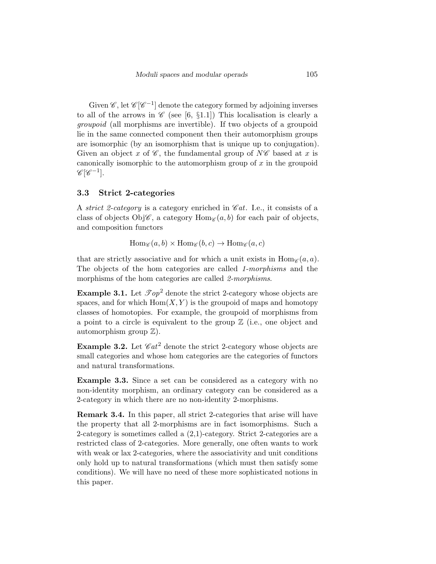Given  $\mathscr{C}$ , let  $\mathscr{C}[\mathscr{C}^{-1}]$  denote the category formed by adjoining inverses to all of the arrows in  $\mathscr{C}$  (see [6, §1.1]) This localisation is clearly a groupoid (all morphisms are invertible). If two objects of a groupoid lie in the same connected component then their automorphism groups are isomorphic (by an isomorphism that is unique up to conjugation). Given an object x of  $\mathscr{C}$ , the fundamental group of  $N\mathscr{C}$  based at x is canonically isomorphic to the automorphism group of  $x$  in the groupoid  $\mathscr{C}[\mathscr{C}^{-1}].$ 

#### 3.3 Strict 2-categories

A strict 2-category is a category enriched in  $\mathscr{C}at$ . I.e., it consists of a class of objects Obj $\mathscr{C}$ , a category  $\text{Hom}_{\mathscr{C}}(a, b)$  for each pair of objects, and composition functors

 $\text{Hom}_{\mathscr{C}}(a, b) \times \text{Hom}_{\mathscr{C}}(b, c) \to \text{Hom}_{\mathscr{C}}(a, c)$ 

that are strictly associative and for which a unit exists in  $\text{Hom}_{\mathscr{C}}(a, a)$ . The objects of the hom categories are called 1-morphisms and the morphisms of the hom categories are called 2-morphisms.

**Example 3.1.** Let  $\mathcal{I} op^2$  denote the strict 2-category whose objects are spaces, and for which  $Hom(X, Y)$  is the groupoid of maps and homotopy classes of homotopies. For example, the groupoid of morphisms from a point to a circle is equivalent to the group  $\mathbb Z$  (i.e., one object and automorphism group  $\mathbb{Z}$ ).

**Example 3.2.** Let  $\mathscr{C}at^2$  denote the strict 2-category whose objects are small categories and whose hom categories are the categories of functors and natural transformations.

Example 3.3. Since a set can be considered as a category with no non-identity morphism, an ordinary category can be considered as a 2-category in which there are no non-identity 2-morphisms.

Remark 3.4. In this paper, all strict 2-categories that arise will have the property that all 2-morphisms are in fact isomorphisms. Such a 2-category is sometimes called a (2,1)-category. Strict 2-categories are a restricted class of 2-categories. More generally, one often wants to work with weak or lax 2-categories, where the associativity and unit conditions only hold up to natural transformations (which must then satisfy some conditions). We will have no need of these more sophisticated notions in this paper.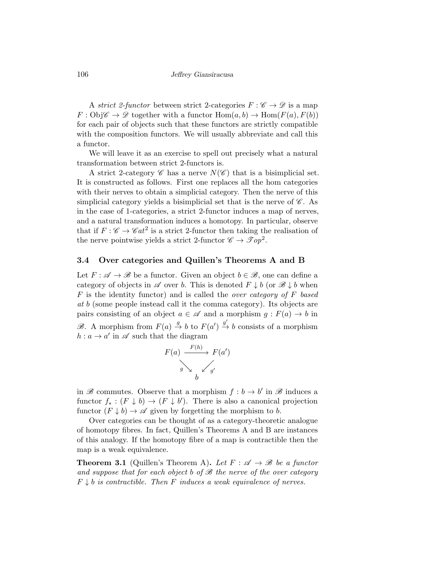106 Jeffrey Giansiracusa

A strict 2-functor between strict 2-categories  $F : \mathscr{C} \to \mathscr{D}$  is a map  $F:Obj\mathscr{C} \to \mathscr{D}$  together with a functor  $Hom(a, b) \to Hom(F(a), F(b))$ for each pair of objects such that these functors are strictly compatible with the composition functors. We will usually abbreviate and call this a functor.

We will leave it as an exercise to spell out precisely what a natural transformation between strict 2-functors is.

A strict 2-category  $\mathscr C$  has a nerve  $N(\mathscr C)$  that is a bisimplicial set. It is constructed as follows. First one replaces all the hom categories with their nerves to obtain a simplicial category. Then the nerve of this simplicial category yields a bisimplicial set that is the nerve of  $\mathscr{C}$ . As in the case of 1-categories, a strict 2-functor induces a map of nerves, and a natural transformation induces a homotopy. In particular, observe that if  $F: \mathscr{C} \to \mathscr{C}at^2$  is a strict 2-functor then taking the realisation of the nerve pointwise yields a strict 2-functor  $\mathscr{C} \to \mathscr{T} \mathscr{O} p^2$ .

#### 3.4 Over categories and Quillen's Theorems A and B

Let  $F: \mathscr{A} \to \mathscr{B}$  be a functor. Given an object  $b \in \mathscr{B}$ , one can define a category of objects in  $\mathscr A$  over b. This is denoted  $F \downarrow b$  (or  $\mathscr B \downarrow b$  when  $F$  is the identity functor) and is called the *over category of*  $F$  based at b (some people instead call it the comma category). Its objects are pairs consisting of an object  $a \in \mathscr{A}$  and a morphism  $g : F(a) \to b$  in B. A morphism from  $F(a) \stackrel{g}{\to} b$  to  $F(a') \stackrel{g'}{\to} b$  consists of a morphism  $h: a \to a'$  in  $\mathscr A$  such that the diagram

$$
F(a) \xrightarrow{F(h)} F(a')
$$
  
 $g \searrow \swarrow g'$ 

in  $\mathscr B$  commutes. Observe that a morphism  $f : b \to b'$  in  $\mathscr B$  induces a functor  $f_* : (F \downarrow b) \to (F \downarrow b')$ . There is also a canonical projection functor  $(F \downarrow b) \rightarrow \mathscr{A}$  given by forgetting the morphism to b.

Over categories can be thought of as a category-theoretic analogue of homotopy fibres. In fact, Quillen's Theorems A and B are instances of this analogy. If the homotopy fibre of a map is contractible then the map is a weak equivalence.

**Theorem 3.1** (Quillen's Theorem A). Let  $F : \mathscr{A} \to \mathscr{B}$  be a functor and suppose that for each object b of  $\mathscr B$  the nerve of the over category  $F \downarrow b$  is contractible. Then F induces a weak equivalence of nerves.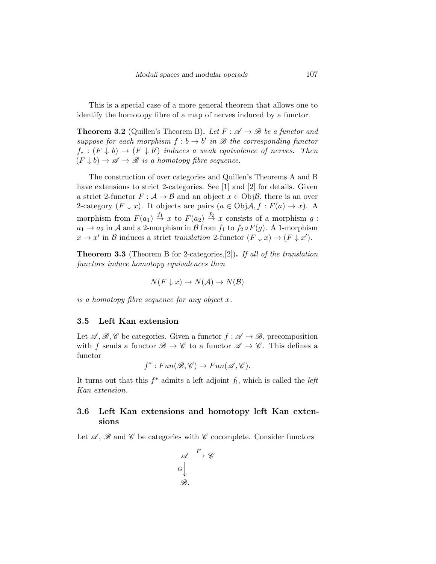This is a special case of a more general theorem that allows one to identify the homotopy fibre of a map of nerves induced by a functor.

**Theorem 3.2** (Quillen's Theorem B). Let  $F : \mathscr{A} \to \mathscr{B}$  be a functor and suppose for each morphism  $f : b \to b'$  in  $\mathscr B$  the corresponding functor  $f_* : (F \downarrow b) \rightarrow (F \downarrow b')$  induces a weak equivalence of nerves. Then  $(F \downarrow b) \rightarrow \mathscr{A} \rightarrow \mathscr{B}$  is a homotopy fibre sequence.

The construction of over categories and Quillen's Theorems A and B have extensions to strict 2-categories. See [1] and [2] for details. Given a strict 2-functor  $F : \mathcal{A} \to \mathcal{B}$  and an object  $x \in \mathrm{Obj}\mathcal{B}$ , there is an over 2-category  $(F \downarrow x)$ . It objects are pairs  $(a \in \text{Obj}A, f : F(a) \to x)$ . A morphism from  $F(a_1) \stackrel{f_1}{\rightarrow} x$  to  $F(a_2) \stackrel{f_2}{\rightarrow} x$  consists of a morphism  $g$ :  $a_1 \rightarrow a_2$  in A and a 2-morphism in B from  $f_1$  to  $f_2 \circ F(g)$ . A 1-morphism  $x \to x'$  in B induces a strict translation 2-functor  $(F \downarrow x) \to (F \downarrow x')$ .

**Theorem 3.3** (Theorem B for 2-categories, [2]). If all of the translation functors induce homotopy equivalences then

$$
N(F \downarrow x) \to N(\mathcal{A}) \to N(\mathcal{B})
$$

is a homotopy fibre sequence for any object x.

### 3.5 Left Kan extension

Let  $\mathscr{A}, \mathscr{B}, \mathscr{C}$  be categories. Given a functor  $f : \mathscr{A} \to \mathscr{B}$ , precomposition with f sends a functor  $\mathscr{B} \to \mathscr{C}$  to a functor  $\mathscr{A} \to \mathscr{C}$ . This defines a functor

$$
f^*: Fun(\mathscr{B}, \mathscr{C}) \to Fun(\mathscr{A}, \mathscr{C}).
$$

It turns out that this  $f^*$  admits a left adjoint  $f_!$ , which is called the *left* Kan extension.

### 3.6 Left Kan extensions and homotopy left Kan extensions

Let  $\mathscr A$ ,  $\mathscr B$  and  $\mathscr C$  be categories with  $\mathscr C$  cocomplete. Consider functors

$$
\begin{array}{c}\n\mathscr{A} \xrightarrow{F} \mathscr{C} \\
G \downarrow \\
\mathscr{B}.\n\end{array}
$$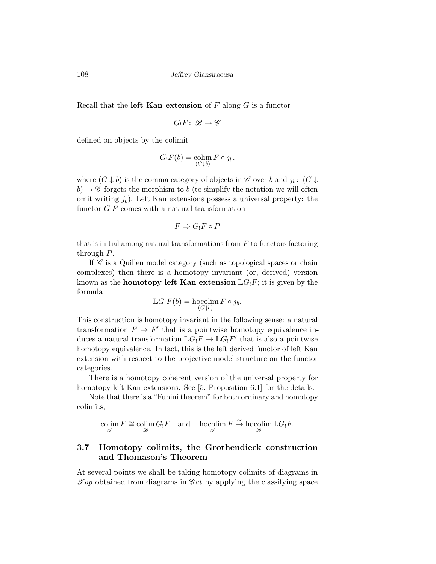Recall that the **left Kan extension** of  $F$  along  $G$  is a functor

$$
G_!F\colon\thinspace\mathscr B\to\mathscr C
$$

defined on objects by the colimit

$$
G_!F(b) = \operatorname*{colim}_{(G \downarrow b)} F \circ j_b,
$$

where  $(G \downarrow b)$  is the comma category of objects in  $\mathscr C$  over b and  $j_b$ :  $(G \downarrow b)$  $b) \rightarrow \mathscr{C}$  forgets the morphism to b (to simplify the notation we will often omit writing  $j<sub>b</sub>$ ). Left Kan extensions possess a universal property: the functor  $G_1F$  comes with a natural transformation

$$
F \Rightarrow G_!F \circ P
$$

that is initial among natural transformations from  $F$  to functors factoring through P.

If  $\mathscr C$  is a Quillen model category (such as topological spaces or chain complexes) then there is a homotopy invariant (or, derived) version known as the **homotopy left Kan extension**  $\mathbb{L}G_1F$ ; it is given by the formula

$$
\mathbb{L}G_!F(b) = \operatorname*{hocolim}_{(G \downarrow b)} F \circ j_b.
$$

This construction is homotopy invariant in the following sense: a natural transformation  $F \to F'$  that is a pointwise homotopy equivalence induces a natural transformation  $\mathbb{L} G_!F \to \mathbb{L} G_!F'$  that is also a pointwise homotopy equivalence. In fact, this is the left derived functor of left Kan extension with respect to the projective model structure on the functor categories.

There is a homotopy coherent version of the universal property for homotopy left Kan extensions. See [5, Proposition 6.1] for the details.

Note that there is a "Fubini theorem" for both ordinary and homotopy colimits,

 $\operatorname{colim}_{\mathscr{A}} F \cong \operatorname{colim}_{\mathscr{B}} G_!F \quad \text{and} \quad \operatorname{hocolim}_{\mathscr{A}} F \stackrel{\simeq}{\to} \operatorname{hocolim}_{\mathscr{B}} \mathbb{L} G_!F.$ 

## 3.7 Homotopy colimits, the Grothendieck construction and Thomason's Theorem

At several points we shall be taking homotopy colimits of diagrams in  $\mathcal{T}_{op}$  obtained from diagrams in  $\mathcal{C}_{at}$  by applying the classifying space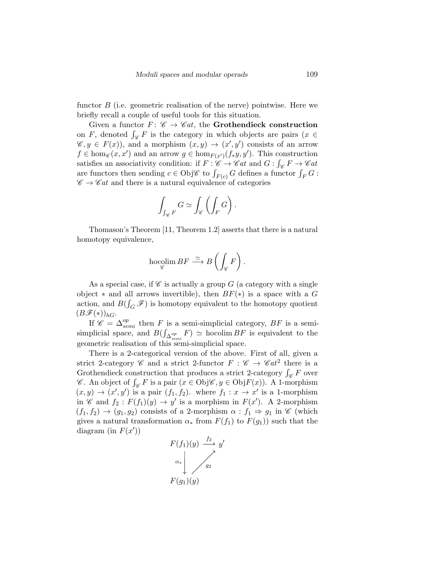functor  $B$  (i.e. geometric realisation of the nerve) pointwise. Here we briefly recall a couple of useful tools for this situation.

Given a functor  $F: \mathscr{C} \to \mathscr{C}at$ , the **Grothendieck construction** on F, denoted  $\int_{\mathscr{C}} F$  is the category in which objects are pairs  $(x \in$  $\mathscr{C}, y \in F(x)$ , and a morphism  $(x, y) \to (x', y')$  consists of an arrow  $f \in \hom_{\mathscr{C}}(x, x')$  and an arrow  $g \in \hom_{F(x')}(f_*y, y')$ . This construction satisfies an associativity condition: if  $F: \mathscr{C} \to \mathscr{C}at$  and  $G: \int_{\mathscr{C}} F \to \mathscr{C}at$ are functors then sending  $c \in \text{Obj}\mathscr{C}$  to  $\int_{F(c)} G$  defines a functor  $\int_F G$ :  $\mathscr{C} \to \mathscr{C}at$  and there is a natural equivalence of categories

$$
\int_{\int_{\mathscr{C}} F} G \simeq \int_{\mathscr{C}} \left( \int_{F} G \right).
$$

Thomason's Theorem [11, Theorem 1.2] asserts that there is a natural homotopy equivalence,

$$
\operatornamewithlimits{hocolim}_{\mathscr C} BF \stackrel{\simeq}{\longrightarrow} B\left(\int_{\mathscr C} F\right).
$$

As a special case, if  $\mathscr C$  is actually a group G (a category with a single object  $*$  and all arrows invertible), then  $BF(*)$  is a space with a G action, and  $B(\int_G \mathscr{F})$  is homotopy equivalent to the homotopy quotient  $(B\mathscr{F}(*))_{hG}$ .

If  $\mathscr{C} = \Delta^{op}_{semi}$  then F is a semi-simplicial category, BF is a semisimplicial space, and  $B(\int_{\Delta_{semi}} F) \simeq$  hocolim  $BF$  is equivalent to the geometric realisation of this semi-simplicial space.

There is a 2-categorical version of the above. First of all, given a strict 2-category  $\mathscr C$  and a strict 2-functor  $F : \mathscr C \to \mathscr C \mathscr a t^2$  there is a Grothendieck construction that produces a strict 2-category  $\int_{\mathscr{C}} F$  over  $\mathscr{C}$ . An object of  $\int_{\mathscr{C}} F$  is a pair  $(x \in \text{Obj}\mathscr{C}, y \in \text{Obj}F(x)$ . A 1-morphism  $(x, y) \rightarrow (x', y')$  is a pair  $(f_1, f_2)$ , where  $f_1 : x \rightarrow x'$  is a 1-morphism in  $\mathscr{C}$  and  $f_2$ :  $F(f_1)(y) \to y'$  is a morphism in  $F(x')$ . A 2-morphism  $(f_1, f_2) \rightarrow (g_1, g_2)$  consists of a 2-morphism  $\alpha : f_1 \Rightarrow g_1$  in  $\mathscr{C}$  (which gives a natural transformation  $\alpha_*$  from  $F(f_1)$  to  $F(g_1)$  such that the diagram (in  $F(x')$ )

$$
F(f_1)(y) \xrightarrow{f_2} y'
$$
  
\n
$$
\alpha_* \downarrow \qquad \qquad \nearrow
$$
  
\n
$$
F(g_1)(y)
$$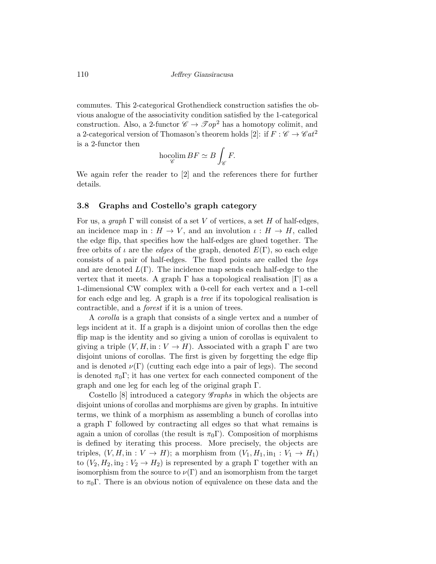110 Jeffrey Giansiracusa

commutes. This 2-categorical Grothendieck construction satisfies the obvious analogue of the associativity condition satisfied by the 1-categorical construction. Also, a 2-functor  $\mathscr{C} \to \mathscr{T} \circ p^2$  has a homotopy colimit, and a 2-categorical version of Thomason's theorem holds [2]: if  $F : \mathscr{C} \to \mathscr{C}at^2$ is a 2-functor then

$$
\operatorname*{hocolim}_{\mathscr{C}} BF \simeq B\int_{\mathscr{C}} F.
$$

We again refer the reader to [2] and the references there for further details.

#### 3.8 Graphs and Costello's graph category

For us, a *graph*  $\Gamma$  will consist of a set V of vertices, a set H of half-edges, an incidence map in :  $H \to V$ , and an involution  $\iota : H \to H$ , called the edge flip, that specifies how the half-edges are glued together. The free orbits of  $\iota$  are the *edges* of the graph, denoted  $E(\Gamma)$ , so each edge consists of a pair of half-edges. The fixed points are called the legs and are denoted  $L(\Gamma)$ . The incidence map sends each half-edge to the vertex that it meets. A graph  $\Gamma$  has a topological realisation  $|\Gamma|$  as a 1-dimensional CW complex with a 0-cell for each vertex and a 1-cell for each edge and leg. A graph is a tree if its topological realisation is contractible, and a forest if it is a union of trees.

A corolla is a graph that consists of a single vertex and a number of legs incident at it. If a graph is a disjoint union of corollas then the edge flip map is the identity and so giving a union of corollas is equivalent to giving a triple  $(V, H, \text{in} : V \to H)$ . Associated with a graph  $\Gamma$  are two disjoint unions of corollas. The first is given by forgetting the edge flip and is denoted  $\nu(\Gamma)$  (cutting each edge into a pair of legs). The second is denoted  $\pi_0\Gamma$ ; it has one vertex for each connected component of the graph and one leg for each leg of the original graph Γ.

Costello  $[8]$  introduced a category *Graphs* in which the objects are disjoint unions of corollas and morphisms are given by graphs. In intuitive terms, we think of a morphism as assembling a bunch of corollas into a graph  $\Gamma$  followed by contracting all edges so that what remains is again a union of corollas (the result is  $\pi_0\Gamma$ ). Composition of morphisms is defined by iterating this process. More precisely, the objects are triples,  $(V, H, \text{in} : V \to H)$ ; a morphism from  $(V_1, H_1, \text{in}_1 : V_1 \to H_1)$ to  $(V_2, H_2, \text{in}_2 : V_2 \to H_2)$  is represented by a graph  $\Gamma$  together with an isomorphism from the source to  $\nu(\Gamma)$  and an isomorphism from the target to  $\pi_0 \Gamma$ . There is an obvious notion of equivalence on these data and the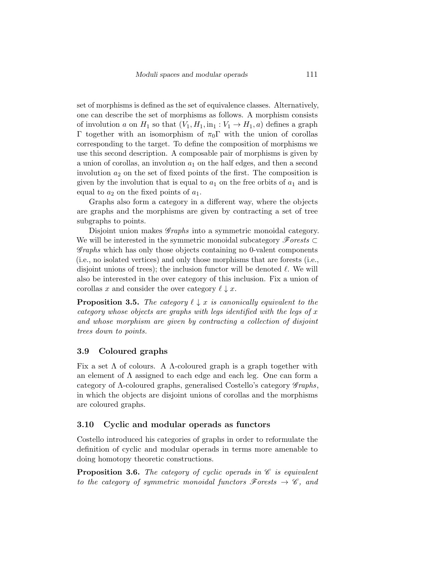set of morphisms is defined as the set of equivalence classes. Alternatively, one can describe the set of morphisms as follows. A morphism consists of involution a on  $H_1$  so that  $(V_1, H_1, \text{in}_1 : V_1 \to H_1, a)$  defines a graph Γ together with an isomorphism of  $\pi_0$ Γ with the union of corollas corresponding to the target. To define the composition of morphisms we use this second description. A composable pair of morphisms is given by a union of corollas, an involution  $a_1$  on the half edges, and then a second involution  $a_2$  on the set of fixed points of the first. The composition is given by the involution that is equal to  $a_1$  on the free orbits of  $a_1$  and is equal to  $a_2$  on the fixed points of  $a_1$ .

Graphs also form a category in a different way, where the objects are graphs and the morphisms are given by contracting a set of tree subgraphs to points.

Disjoint union makes *Graphs* into a symmetric monoidal category. We will be interested in the symmetric monoidal subcategory  $\mathscr{F}orests$  $\mathscr{G}raphs$  which has only those objects containing no 0-valent components (i.e., no isolated vertices) and only those morphisms that are forests (i.e., disjoint unions of trees); the inclusion functor will be denoted  $\ell$ . We will also be interested in the over category of this inclusion. Fix a union of corollas x and consider the over category  $\ell \downarrow x$ .

**Proposition 3.5.** The category  $\ell \downarrow x$  is canonically equivalent to the category whose objects are graphs with legs identified with the legs of  $x$ and whose morphism are given by contracting a collection of disjoint trees down to points.

#### 3.9 Coloured graphs

Fix a set  $\Lambda$  of colours. A  $\Lambda$ -coloured graph is a graph together with an element of Λ assigned to each edge and each leg. One can form a category of  $\Lambda$ -coloured graphs, generalised Costello's category  $\mathscr{G}raphs$ , in which the objects are disjoint unions of corollas and the morphisms are coloured graphs.

#### 3.10 Cyclic and modular operads as functors

Costello introduced his categories of graphs in order to reformulate the definition of cyclic and modular operads in terms more amenable to doing homotopy theoretic constructions.

**Proposition 3.6.** The category of cyclic operads in  $\mathscr C$  is equivalent to the category of symmetric monoidal functors  $\mathscr{F}orests \rightarrow \mathscr{C}$ , and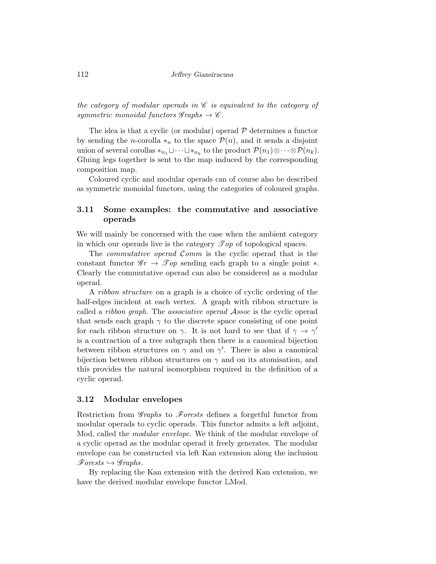the category of modular operads in  $\mathscr C$  is equivalent to the category of symmetric monoidal functors  $\mathscr{G}$ raphs  $\rightarrow \mathscr{C}$ .

The idea is that a cyclic (or modular) operad  $P$  determines a functor by sending the *n*-corolla  $*_n$  to the space  $\mathcal{P}(n)$ , and it sends a disjoint union of several corollas  $*_{n_1} \sqcup \cdots \sqcup *_{{n_k}}$  to the product  $\mathcal{P}(n_1) \otimes \cdots \otimes \mathcal{P}(n_k)$ . Gluing legs together is sent to the map induced by the corresponding composition map.

Coloured cyclic and modular operads can of course also be described as symmetric monoidal functors, using the categories of coloured graphs.

### 3.11 Some examples: the commutative and associative operads

We will mainly be concerned with the case when the ambient category in which our operads live is the category  $\mathscr{Top}$  of topological spaces.

The *commutative operad Comm* is the cyclic operad that is the constant functor  $\mathscr{G}_r \to \mathscr{T}_{op}$  sending each graph to a single point  $\ast$ . Clearly the commutative operad can also be considered as a modular operad.

A ribbon structure on a graph is a choice of cyclic ordering of the half-edges incident at each vertex. A graph with ribbon structure is called a ribbon graph. The associative operad Assoc is the cyclic operad that sends each graph  $\gamma$  to the discrete space consisting of one point for each ribbon structure on  $\gamma$ . It is not hard to see that if  $\gamma \to \gamma'$ is a contraction of a tree subgraph then there is a canonical bijection between ribbon structures on  $\gamma$  and on  $\gamma'$ . There is also a canonical bijection between ribbon structures on  $\gamma$  and on its atomisation, and this provides the natural isomorphism required in the definition of a cyclic operad.

#### 3.12 Modular envelopes

Restriction from  $\mathscr{G}raphs$  to  $\mathscr{F}orests$  defines a forgetful functor from modular operads to cyclic operads. This functor admits a left adjoint, Mod, called the modular envelope. We think of the modular envelope of a cyclic operad as the modular operad it freely generates. The modular envelope can be constructed via left Kan extension along the inclusion  $\mathscr{F}orests \hookrightarrow \mathscr{G}raphs.$ 

By replacing the Kan extension with the derived Kan extension, we have the derived modular envelope functor LMod.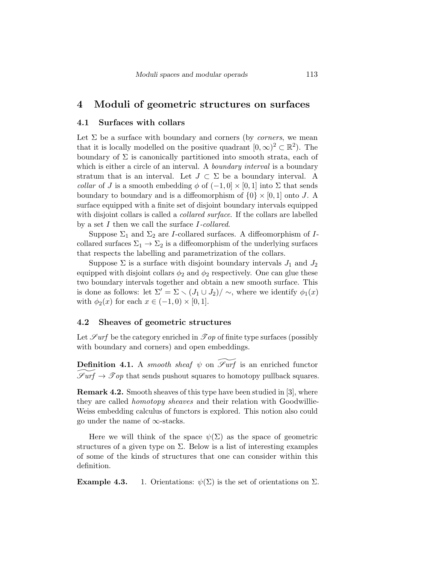### 4 Moduli of geometric structures on surfaces

#### 4.1 Surfaces with collars

Let  $\Sigma$  be a surface with boundary and corners (by *corners*, we mean that it is locally modelled on the positive quadrant  $[0, \infty)^2 \subset \mathbb{R}^2$ . The boundary of  $\Sigma$  is canonically partitioned into smooth strata, each of which is either a circle of an interval. A *boundary interval* is a boundary stratum that is an interval. Let  $J \subset \Sigma$  be a boundary interval. A collar of J is a smooth embedding  $\phi$  of  $(-1,0] \times [0,1]$  into  $\Sigma$  that sends boundary to boundary and is a diffeomorphism of  $\{0\} \times [0, 1]$  onto J. A surface equipped with a finite set of disjoint boundary intervals equipped with disjoint collars is called a *collared surface*. If the collars are labelled by a set I then we call the surface I-collared.

Suppose  $\Sigma_1$  and  $\Sigma_2$  are *I*-collared surfaces. A diffeomorphism of *I*collared surfaces  $\Sigma_1 \rightarrow \Sigma_2$  is a diffeomorphism of the underlying surfaces that respects the labelling and parametrization of the collars.

Suppose  $\Sigma$  is a surface with disjoint boundary intervals  $J_1$  and  $J_2$ equipped with disjoint collars  $\phi_2$  and  $\phi_2$  respectively. One can glue these two boundary intervals together and obtain a new smooth surface. This is done as follows: let  $\Sigma' = \Sigma \setminus (J_1 \cup J_2) / \sim$ , where we identify  $\phi_1(x)$ with  $\phi_2(x)$  for each  $x \in (-1,0) \times [0,1]$ .

### 4.2 Sheaves of geometric structures

Let  $\mathscr{S}urf$  be the category enriched in  $\mathscr{Top}$  of finite type surfaces (possibly with boundary and corners) and open embeddings.

**Definition 4.1.** A smooth sheaf  $\psi$  on  $\widetilde{\mathscr{S}uf}$  is an enriched functor  $\mathscr{S}urf \to \mathscr{T} op$  that sends pushout squares to homotopy pullback squares.

Remark 4.2. Smooth sheaves of this type have been studied in [3], where they are called *homotopy sheaves* and their relation with Goodwillie-Weiss embedding calculus of functors is explored. This notion also could go under the name of ∞-stacks.

Here we will think of the space  $\psi(\Sigma)$  as the space of geometric structures of a given type on  $\Sigma$ . Below is a list of interesting examples of some of the kinds of structures that one can consider within this definition.

**Example 4.3.** 1. Orientations:  $\psi(\Sigma)$  is the set of orientations on  $\Sigma$ .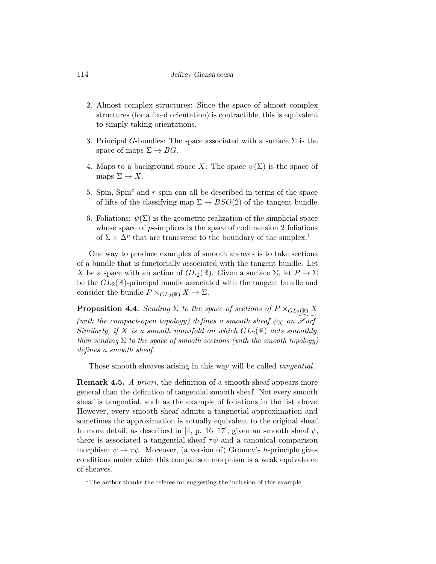#### 114 Jeffrey Giansiracusa

- 2. Almost complex structures: Since the space of almost complex structures (for a fixed orientation) is contractible, this is equivalent to simply taking orientations.
- 3. Principal G-bundles: The space associated with a surface  $\Sigma$  is the space of maps  $\Sigma \to BG$ .
- 4. Maps to a background space X: The space  $\psi(\Sigma)$  is the space of maps  $\Sigma \to X$ .
- 5. Spin, Spin $^c$  and  $r$ -spin can all be described in terms of the space of lifts of the classifying map  $\Sigma \to BSO(2)$  of the tangent bundle.
- 6. Foliations:  $\psi(\Sigma)$  is the geometric realization of the simplicial space whose space of *p*-simplices is the space of codimension 2 foliations of  $\Sigma \times \Delta^p$  that are transverse to the boundary of the simplex.<sup>1</sup>

One way to produce examples of smooth sheaves is to take sections of a bundle that is functorially associated with the tangent bundle. Let X be a space with an action of  $GL_2(\mathbb{R})$ . Given a surface  $\Sigma$ , let  $P \to \Sigma$ be the  $GL_2(\mathbb{R})$ -principal bundle associated with the tangent bundle and consider the bundle  $P \times_{GL_2(\mathbb{R})} X \to \Sigma$ .

**Proposition 4.4.** Sending  $\Sigma$  to the space of sections of  $P \times_{GL_2(\mathbb{R})} X$ (with the compact-open topology) defines a smooth sheaf  $\psi_X$  on  $\mathscr{S}\text{urf}$ . Similarly, if X is a smooth manifold on which  $GL_2(\mathbb{R})$  acts smoothly, then sending  $\Sigma$  to the space of smooth sections (with the smooth topology) defines a smooth sheaf.

Those smooth sheaves arising in this way will be called *tangential*.

**Remark 4.5.** A priori, the definition of a smooth sheaf appears more general than the definition of tangential smooth sheaf. Not every smooth sheaf is tangential, such as the example of foliations in the list above. However, every smooth sheaf admits a tangnetial approximation and sometimes the approximation is actually equivalent to the original sheaf. In more detail, as described in [4, p. 16–17], given an smooth sheaf  $\psi$ , there is associated a tangential sheaf  $\tau\psi$  and a canonical comparison morphism  $\psi \to \tau \psi$ . Moreover, (a version of) Gromov's *h*-principle gives conditions under which this comparison morphism is a weak equivalence of sheaves.

<sup>&</sup>lt;sup>1</sup>The author thanks the referee for suggesting the inclusion of this example.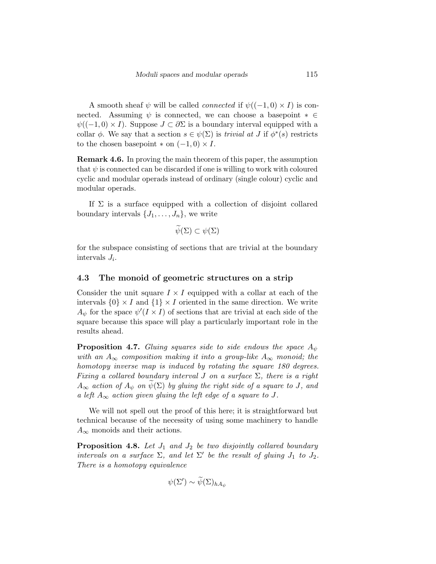A smooth sheaf  $\psi$  will be called *connected* if  $\psi((-1,0) \times I)$  is connected. Assuming  $\psi$  is connected, we can choose a basepoint  $* \in$  $\psi((-1,0) \times I)$ . Suppose  $J \subset \partial \Sigma$  is a boundary interval equipped with a collar  $\phi$ . We say that a section  $s \in \psi(\Sigma)$  is *trivial at* J if  $\phi^*(s)$  restricts to the chosen basepoint  $*$  on  $(-1,0) \times I$ .

Remark 4.6. In proving the main theorem of this paper, the assumption that  $\psi$  is connected can be discarded if one is willing to work with coloured cyclic and modular operads instead of ordinary (single colour) cyclic and modular operads.

If  $\Sigma$  is a surface equipped with a collection of disjoint collared boundary intervals  $\{J_1, \ldots, J_n\}$ , we write

$$
\psi(\Sigma) \subset \psi(\Sigma)
$$

for the subspace consisting of sections that are trivial at the boundary intervals  $J_i$ .

#### 4.3 The monoid of geometric structures on a strip

Consider the unit square  $I \times I$  equipped with a collar at each of the intervals  $\{0\} \times I$  and  $\{1\} \times I$  oriented in the same direction. We write  $A_{\psi}$  for the space  $\psi'(I \times I)$  of sections that are trivial at each side of the square because this space will play a particularly important role in the results ahead.

**Proposition 4.7.** Gluing squares side to side endows the space  $A_{\psi}$ with an  $A_{\infty}$  composition making it into a group-like  $A_{\infty}$  monoid; the homotopy inverse map is induced by rotating the square 180 degrees. Fixing a collared boundary interval J on a surface  $\Sigma$ , there is a right  $A_{\infty}$  action of  $A_{\psi}$  on  $\psi(\Sigma)$  by gluing the right side of a square to J, and a left  $A_{\infty}$  action given gluing the left edge of a square to J.

We will not spell out the proof of this here; it is straightforward but technical because of the necessity of using some machinery to handle  $A_{\infty}$  monoids and their actions.

**Proposition 4.8.** Let  $J_1$  and  $J_2$  be two disjointly collared boundary intervals on a surface  $\Sigma$ , and let  $\Sigma'$  be the result of gluing  $J_1$  to  $J_2$ . There is a homotopy equivalence

$$
\psi(\Sigma') \sim \widetilde{\psi}(\Sigma)_{hA_{\psi}}
$$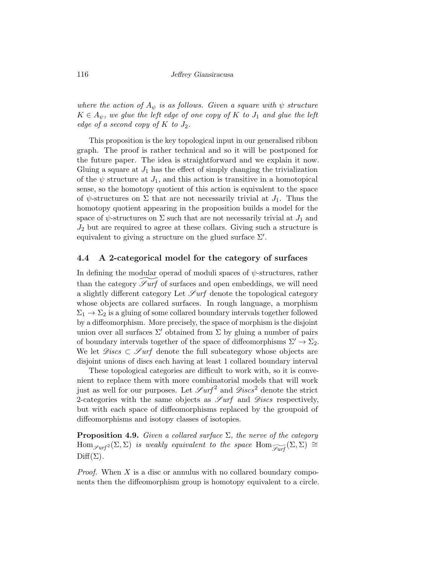where the action of  $A_{\psi}$  is as follows. Given a square with  $\psi$  structure  $K \in A_{\psi}$ , we glue the left edge of one copy of K to  $J_1$  and glue the left edge of a second copy of  $K$  to  $J_2$ .

This proposition is the key topological input in our generalised ribbon graph. The proof is rather technical and so it will be postponed for the future paper. The idea is straightforward and we explain it now. Gluing a square at  $J_1$  has the effect of simply changing the trivialization of the  $\psi$  structure at  $J_1$ , and this action is transitive in a homotopical sense, so the homotopy quotient of this action is equivalent to the space of  $\psi$ -structures on  $\Sigma$  that are not necessarily trivial at  $J_1$ . Thus the homotopy quotient appearing in the proposition builds a model for the space of  $\psi$ -structures on  $\Sigma$  such that are not necessarily trivial at  $J_1$  and  $J_2$  but are required to agree at these collars. Giving such a structure is equivalent to giving a structure on the glued surface  $\Sigma'$ .

#### 4.4 A 2-categorical model for the category of surfaces

In defining the modular operad of moduli spaces of  $\psi$ -structures, rather than the category  $\mathscr{S}urf$  of surfaces and open embeddings, we will need a slightly different category Let  $\mathscr{S}\text{urf}$  denote the topological category whose objects are collared surfaces. In rough language, a morphism  $\Sigma_1 \rightarrow \Sigma_2$  is a gluing of some collared boundary intervals together followed by a diffeomorphism. More precisely, the space of morphism is the disjoint union over all surfaces  $\Sigma'$  obtained from  $\Sigma$  by gluing a number of pairs of boundary intervals together of the space of diffeomorphisms  $\Sigma' \to \Sigma_2$ . We let  $\mathscr{D}iscs \subset \mathscr{S}urf$  denote the full subcategory whose objects are disjoint unions of discs each having at least 1 collared boundary interval

These topological categories are difficult to work with, so it is convenient to replace them with more combinatorial models that will work just as well for our purposes. Let  $\mathscr{S}urf^2$  and  $\mathscr{D}\text{iscs}^2$  denote the strict 2-categories with the same objects as  $\mathscr{S}\text{urf}$  and  $\mathscr{D}\text{iscs}$  respectively, but with each space of diffeomorphisms replaced by the groupoid of diffeomorphisms and isotopy classes of isotopies.

**Proposition 4.9.** Given a collared surface  $\Sigma$ , the nerve of the category  $\text{Hom}_{\mathscr{S}\text{urf}}( \Sigma, \Sigma)$  is weakly equivalent to the space  $\text{Hom}_{\widetilde{\mathscr{S}\text{urf}}} (\Sigma, \Sigma) \cong$  $Diff(\Sigma)$ .

*Proof.* When  $X$  is a disc or annulus with no collared boundary components then the diffeomorphism group is homotopy equivalent to a circle.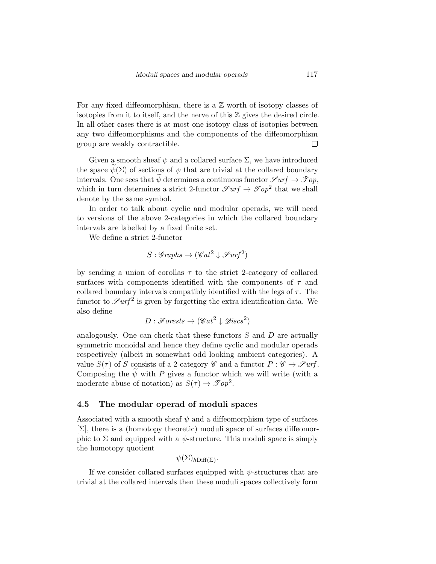For any fixed diffeomorphism, there is a  $\mathbb Z$  worth of isotopy classes of isotopies from it to itself, and the nerve of this  $\mathbb Z$  gives the desired circle. In all other cases there is at most one isotopy class of isotopies between any two diffeomorphisms and the components of the diffeomorphism group are weakly contractible.  $\Box$ 

Given a smooth sheaf  $\psi$  and a collared surface  $\Sigma$ , we have introduced the space  $\psi(\Sigma)$  of sections of  $\psi$  that are trivial at the collared boundary intervals. One sees that  $\psi$  determines a continuous functor  $\mathscr{S}urf \to \mathscr{T}op$ , which in turn determines a strict 2-functor  $\mathscr{S}urf \to \mathscr{T}op^2$  that we shall denote by the same symbol.

In order to talk about cyclic and modular operads, we will need to versions of the above 2-categories in which the collared boundary intervals are labelled by a fixed finite set.

We define a strict 2-functor

$$
S: \mathscr{Graphs} \to (\mathscr{C}at^2 \downarrow \mathscr{S}urf^2)
$$

by sending a union of corollas  $\tau$  to the strict 2-category of collared surfaces with components identified with the components of  $\tau$  and collared boundary intervals compatibly identified with the legs of  $\tau$ . The functor to  $\mathscr{S}urf^2$  is given by forgetting the extra identification data. We also define

$$
D: \mathscr{F}orests \to (\mathscr{C}at^2\downarrow \mathscr{D}iscs^2)
$$

analogously. One can check that these functors  $S$  and  $D$  are actually symmetric monoidal and hence they define cyclic and modular operads respectively (albeit in somewhat odd looking ambient categories). A value  $S(\tau)$  of S consists of a 2-category  $\mathscr C$  and a functor  $P : \mathscr C \to \mathscr S\!\textit{urf}$ . Composing the  $\psi$  with P gives a functor which we will write (with a moderate abuse of notation) as  $S(\tau) \to \mathcal{F} \{op}^2$ .

#### 4.5 The modular operad of moduli spaces

Associated with a smooth sheaf  $\psi$  and a diffeomorphism type of surfaces  $[\Sigma]$ , there is a (homotopy theoretic) moduli space of surfaces diffeomorphic to  $\Sigma$  and equipped with a  $\psi$ -structure. This moduli space is simply the homotopy quotient

$$
\psi(\Sigma)_{h\text{Diff}(\Sigma)}
$$
.

If we consider collared surfaces equipped with  $\psi$ -structures that are trivial at the collared intervals then these moduli spaces collectively form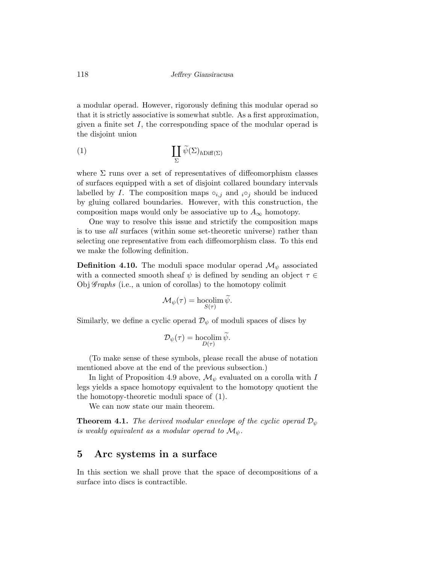a modular operad. However, rigorously defining this modular operad so that it is strictly associative is somewhat subtle. As a first approximation, given a finite set  $I$ , the corresponding space of the modular operad is the disjoint union

(1) 
$$
\coprod_{\Sigma} \widetilde{\psi}(\Sigma)_{h\text{Diff}(\Sigma)}
$$

where  $\Sigma$  runs over a set of representatives of diffeomorphism classes of surfaces equipped with a set of disjoint collared boundary intervals labelled by I. The composition maps  $\circ_{i,j}$  and  $_i \circ_j$  should be induced by gluing collared boundaries. However, with this construction, the composition maps would only be associative up to  $A_{\infty}$  homotopy.

One way to resolve this issue and strictify the composition maps is to use all surfaces (within some set-theoretic universe) rather than selecting one representative from each diffeomorphism class. To this end we make the following definition.

**Definition 4.10.** The moduli space modular operad  $\mathcal{M}_{\psi}$  associated with a connected smooth sheaf  $\psi$  is defined by sending an object  $\tau \in$ Obj  $\mathscr{G}raphs$  (i.e., a union of corollas) to the homotopy colimit

$$
\mathcal{M}_{\psi}(\tau) = \operatorname*{hocolim}_{S(\tau)} \widetilde{\psi}.
$$

Similarly, we define a cyclic operad  $\mathcal{D}_{\psi}$  of moduli spaces of discs by

$$
\mathcal{D}_{\psi}(\tau) = \operatorname*{hocolim}_{D(\tau)} \widetilde{\psi}.
$$

(To make sense of these symbols, please recall the abuse of notation mentioned above at the end of the previous subsection.)

In light of Proposition 4.9 above,  $\mathcal{M}_{\psi}$  evaluated on a corolla with I legs yields a space homotopy equivalent to the homotopy quotient the the homotopy-theoretic moduli space of (1).

We can now state our main theorem.

**Theorem 4.1.** The derived modular envelope of the cyclic operad  $\mathcal{D}_{\psi}$ is weakly equivalent as a modular operad to  $\mathcal{M}_{\psi}$ .

### 5 Arc systems in a surface

In this section we shall prove that the space of decompositions of a surface into discs is contractible.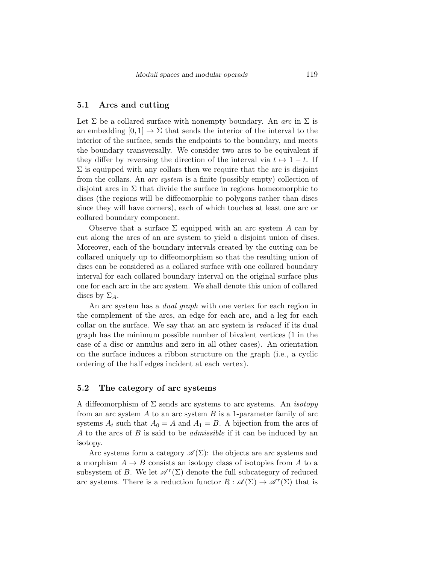#### 5.1 Arcs and cutting

Let  $\Sigma$  be a collared surface with nonempty boundary. An *arc* in  $\Sigma$  is an embedding  $[0,1] \to \Sigma$  that sends the interior of the interval to the interior of the surface, sends the endpoints to the boundary, and meets the boundary transversally. We consider two arcs to be equivalent if they differ by reversing the direction of the interval via  $t \mapsto 1-t$ . If  $\Sigma$  is equipped with any collars then we require that the arc is disjoint from the collars. An arc system is a finite (possibly empty) collection of disjoint arcs in  $\Sigma$  that divide the surface in regions homeomorphic to discs (the regions will be diffeomorphic to polygons rather than discs since they will have corners), each of which touches at least one arc or collared boundary component.

Observe that a surface  $\Sigma$  equipped with an arc system A can by cut along the arcs of an arc system to yield a disjoint union of discs. Moreover, each of the boundary intervals created by the cutting can be collared uniquely up to diffeomorphism so that the resulting union of discs can be considered as a collared surface with one collared boundary interval for each collared boundary interval on the original surface plus one for each arc in the arc system. We shall denote this union of collared discs by  $\Sigma_A$ .

An arc system has a *dual graph* with one vertex for each region in the complement of the arcs, an edge for each arc, and a leg for each collar on the surface. We say that an arc system is reduced if its dual graph has the minimum possible number of bivalent vertices (1 in the case of a disc or annulus and zero in all other cases). An orientation on the surface induces a ribbon structure on the graph (i.e., a cyclic ordering of the half edges incident at each vertex).

#### 5.2 The category of arc systems

A diffeomorphism of  $\Sigma$  sends arc systems to arc systems. An *isotopy* from an arc system  $A$  to an arc system  $B$  is a 1-parameter family of arc systems  $A_t$  such that  $A_0 = A$  and  $A_1 = B$ . A bijection from the arcs of A to the arcs of B is said to be *admissible* if it can be induced by an isotopy.

Arc systems form a category  $\mathscr{A}(\Sigma)$ : the objects are arc systems and a morphism  $A \to B$  consists an isotopy class of isotopies from A to a subsystem of B. We let  $\mathscr{A}^r(\Sigma)$  denote the full subcategory of reduced arc systems. There is a reduction functor  $R : \mathscr{A}(\Sigma) \to \mathscr{A}^r(\Sigma)$  that is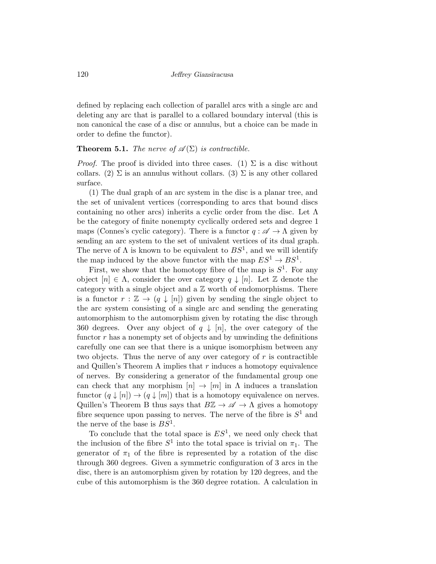defined by replacing each collection of parallel arcs with a single arc and deleting any arc that is parallel to a collared boundary interval (this is non canonical the case of a disc or annulus, but a choice can be made in order to define the functor).

#### **Theorem 5.1.** The nerve of  $\mathscr{A}(\Sigma)$  is contractible.

*Proof.* The proof is divided into three cases. (1)  $\Sigma$  is a disc without collars. (2)  $\Sigma$  is an annulus without collars. (3)  $\Sigma$  is any other collared surface.

(1) The dual graph of an arc system in the disc is a planar tree, and the set of univalent vertices (corresponding to arcs that bound discs containing no other arcs) inherits a cyclic order from the disc. Let  $\Lambda$ be the category of finite nonempty cyclically ordered sets and degree 1 maps (Connes's cyclic category). There is a functor  $q : \mathscr{A} \to \Lambda$  given by sending an arc system to the set of univalent vertices of its dual graph. The nerve of  $\Lambda$  is known to be equivalent to  $BS^1$ , and we will identify the map induced by the above functor with the map  $ES^1 \to BS^1$ .

First, we show that the homotopy fibre of the map is  $S^1$ . For any object  $[n] \in \Lambda$ , consider the over category  $q \downarrow [n]$ . Let Z denote the category with a single object and a  $\mathbb Z$  worth of endomorphisms. There is a functor  $r : \mathbb{Z} \to (q \downarrow [n])$  given by sending the single object to the arc system consisting of a single arc and sending the generating automorphism to the automorphism given by rotating the disc through 360 degrees. Over any object of  $q \downarrow [n]$ , the over category of the functor  $r$  has a nonempty set of objects and by unwinding the definitions carefully one can see that there is a unique isomorphism between any two objects. Thus the nerve of any over category of  $r$  is contractible and Quillen's Theorem A implies that  $r$  induces a homotopy equivalence of nerves. By considering a generator of the fundamental group one can check that any morphism  $[n] \to [m]$  in  $\Lambda$  induces a translation functor  $(q \downarrow [n]) \rightarrow (q \downarrow [m])$  that is a homotopy equivalence on nerves. Quillen's Theorem B thus says that  $B\mathbb{Z} \to \mathscr{A} \to \Lambda$  gives a homotopy fibre sequence upon passing to nerves. The nerve of the fibre is  $S^1$  and the nerve of the base is  $BS^1$ .

To conclude that the total space is  $ES<sup>1</sup>$ , we need only check that the inclusion of the fibre  $S^1$  into the total space is trivial on  $\pi_1$ . The generator of  $\pi_1$  of the fibre is represented by a rotation of the disc through 360 degrees. Given a symmetric configuration of 3 arcs in the disc, there is an automorphism given by rotation by 120 degrees, and the cube of this automorphism is the 360 degree rotation. A calculation in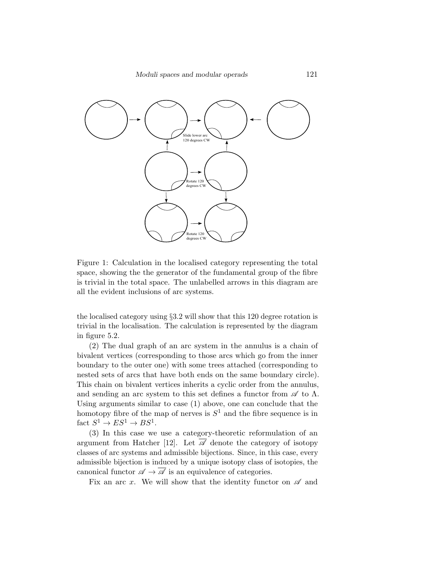

Figure 1: Calculation in the localised category representing the total space, showing the the generator of the fundamental group of the fibre is trivial in the total space. The unlabelled arrows in this diagram are all the evident inclusions of arc systems.

the localised category using §3.2 will show that this 120 degree rotation is trivial in the localisation. The calculation is represented by the diagram in figure 5.2.

(2) The dual graph of an arc system in the annulus is a chain of bivalent vertices (corresponding to those arcs which go from the inner boundary to the outer one) with some trees attached (corresponding to nested sets of arcs that have both ends on the same boundary circle). This chain on bivalent vertices inherits a cyclic order from the annulus, and sending an arc system to this set defines a functor from  $\mathscr A$  to  $\Lambda$ . Using arguments similar to case (1) above, one can conclude that the homotopy fibre of the map of nerves is  $S<sup>1</sup>$  and the fibre sequence is in fact  $S^1 \to ES^1 \to BS^1$ .

(3) In this case we use a category-theoretic reformulation of an argument from Hatcher [12]. Let  $\overline{\mathscr{A}}$  denote the category of isotopy classes of arc systems and admissible bijections. Since, in this case, every admissible bijection is induced by a unique isotopy class of isotopies, the canonical functor  $\mathscr{A} \to \overline{\mathscr{A}}$  is an equivalence of categories.

Fix an arc x. We will show that the identity functor on  $\mathscr A$  and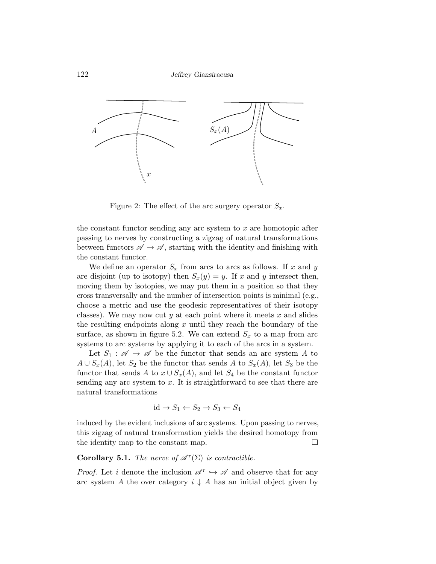

Figure 2: The effect of the arc surgery operator  $S_x$ .

the constant functor sending any arc system to x are homotopic after passing to nerves by constructing a zigzag of natural transformations between functors  $\mathscr{A} \to \mathscr{A}$ , starting with the identity and finishing with the constant functor.

We define an operator  $S_x$  from arcs to arcs as follows. If x and y are disjoint (up to isotopy) then  $S_x(y) = y$ . If x and y intersect then, moving them by isotopies, we may put them in a position so that they cross transversally and the number of intersection points is minimal (e.g., choose a metric and use the geodesic representatives of their isotopy classes). We may now cut y at each point where it meets  $x$  and slides the resulting endpoints along  $x$  until they reach the boundary of the surface, as shown in figure 5.2. We can extend  $S_x$  to a map from arc systems to arc systems by applying it to each of the arcs in a system.

Let  $S_1 : \mathscr{A} \to \mathscr{A}$  be the functor that sends an arc system A to  $A \cup S_x(A)$ , let  $S_2$  be the functor that sends A to  $S_x(A)$ , let  $S_3$  be the functor that sends A to  $x \cup S_x(A)$ , and let  $S_4$  be the constant functor sending any arc system to  $x$ . It is straightforward to see that there are natural transformations

$$
id \to S_1 \leftarrow S_2 \to S_3 \leftarrow S_4
$$

induced by the evident inclusions of arc systems. Upon passing to nerves, this zigzag of natural transformation yields the desired homotopy from the identity map to the constant map.  $\Box$ 

## **Corollary 5.1.** The nerve of  $\mathscr{A}^r(\Sigma)$  is contractible.

*Proof.* Let i denote the inclusion  $\mathscr{A}^r \hookrightarrow \mathscr{A}$  and observe that for any arc system A the over category  $i \downarrow A$  has an initial object given by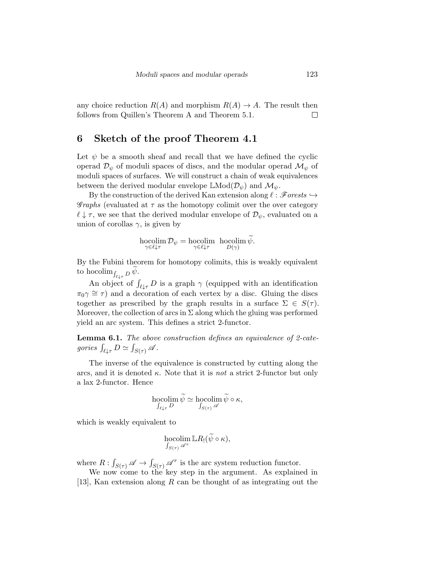any choice reduction  $R(A)$  and morphism  $R(A) \rightarrow A$ . The result then follows from Quillen's Theorem A and Theorem 5.1. П

## 6 Sketch of the proof Theorem 4.1

Let  $\psi$  be a smooth sheaf and recall that we have defined the cyclic operad  $\mathcal{D}_{\psi}$  of moduli spaces of discs, and the modular operad  $\mathcal{M}_{\psi}$  of moduli spaces of surfaces. We will construct a chain of weak equivalences between the derived modular envelope  $\mathbb{L}Mod(\mathcal{D}_{\psi})$  and  $\mathcal{M}_{\psi}$ .

By the construction of the derived Kan extension along  $\ell : \mathscr{F}orets \hookrightarrow$ *Graphs* (evaluated at  $\tau$  as the homotopy colimit over the over category  $\ell \downarrow \tau$ , we see that the derived modular envelope of  $\mathcal{D}_{\psi}$ , evaluated on a union of corollas  $\gamma$ , is given by

$$
\operatornamewithlimits{hocolim}_{\gamma\in\ell\downarrow\tau}\mathcal D_\psi=\operatornamewithlimits{hocolim}_{\gamma\in\ell\downarrow\tau}\;\;\operatornamewithlimits{hocolim}_{D(\gamma)}\widetilde\psi.
$$

By the Fubini theorem for homotopy colimits, this is weakly equivalent to hocolim<sub> $\int_{\ell \downarrow \tau} D \psi$ </sub>.

An object of  $\int_{\ell \downarrow \tau} D$  is a graph  $\gamma$  (equipped with an identification  $\pi_0 \gamma \approx \tau$  and a decoration of each vertex by a disc. Gluing the discs together as prescribed by the graph results in a surface  $\Sigma \in S(\tau)$ . Moreover, the collection of arcs in  $\Sigma$  along which the gluing was performed yield an arc system. This defines a strict 2-functor.

**Lemma 6.1.** The above construction defines an equivalence of 2-categories  $\int_{\ell \downarrow \tau} D \simeq \int_{S(\tau)} \mathscr{A}$ .

The inverse of the equivalence is constructed by cutting along the arcs, and it is denoted  $\kappa$ . Note that it is *not* a strict 2-functor but only a lax 2-functor. Hence

$$
\operatornamewithlimits{hocolim}_{\int_{\ell\downarrow\tau}D}\widetilde{\psi}\simeq\operatornamewithlimits{hocolim}_{\int_{S(\tau)}\mathscr A}\widetilde{\psi}\circ\kappa,
$$

which is weakly equivalent to

$$
\operatornamewithlimits{hocolim}_{\int_{S(\tau)}\mathscr A^r}\mathbb L R_!(\widetilde{\psi}\circ\kappa),
$$

where  $R: \int_{S(\tau)} \mathscr{A} \to \int_{S(\tau)} \mathscr{A}^r$  is the arc system reduction functor.

We now come to the key step in the argument. As explained in [13], Kan extension along  $R$  can be thought of as integrating out the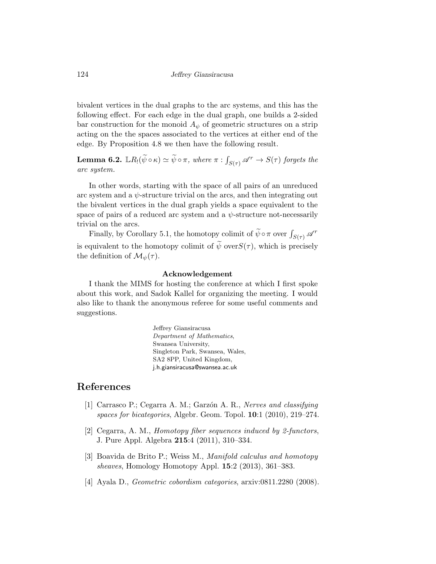bivalent vertices in the dual graphs to the arc systems, and this has the following effect. For each edge in the dual graph, one builds a 2-sided bar construction for the monoid  $A_{\psi}$  of geometric structures on a strip acting on the the spaces associated to the vertices at either end of the edge. By Proposition 4.8 we then have the following result.

**Lemma 6.2.**  $\mathbb{L}R_!(\widetilde{\psi}\circ \kappa) \simeq \widetilde{\psi}\circ \pi$ , where  $\pi: \int_{S(\tau)} \mathscr{A}^r \to S(\tau)$  forgets the arc system.

In other words, starting with the space of all pairs of an unreduced arc system and a  $\psi$ -structure trivial on the arcs, and then integrating out the bivalent vertices in the dual graph yields a space equivalent to the space of pairs of a reduced arc system and a  $\psi$ -structure not-necessarily trivial on the arcs.

Finally, by Corollary 5.1, the homotopy colimit of  $\widetilde{\psi} \circ \pi$  over  $\int_{S(\tau)} \mathscr{A}^r$ is equivalent to the homotopy colimit of  $\widetilde{\psi}$  over $S(\tau)$ , which is precisely the definition of  $\mathcal{M}_{\psi}(\tau)$ .

#### Acknowledgement

I thank the MIMS for hosting the conference at which I first spoke about this work, and Sadok Kallel for organizing the meeting. I would also like to thank the anonymous referee for some useful comments and suggestions.

> Jeffrey Giansiracusa Department of Mathematics, Swansea University, Singleton Park, Swansea, Wales, SA2 8PP, United Kingdom, j.h.giansiracusa@swansea.ac.uk

## References

- [1] Carrasco P.; Cegarra A. M.; Garzón A. R., Nerves and classifying spaces for bicategories, Algebr. Geom. Topol. 10:1 (2010), 219–274.
- [2] Cegarra, A. M., Homotopy fiber sequences induced by 2-functors, J. Pure Appl. Algebra 215:4 (2011), 310–334.
- [3] Boavida de Brito P.; Weiss M., Manifold calculus and homotopy sheaves, Homology Homotopy Appl. 15:2 (2013), 361–383.
- [4] Ayala D., Geometric cobordism categories, arxiv:0811.2280 (2008).